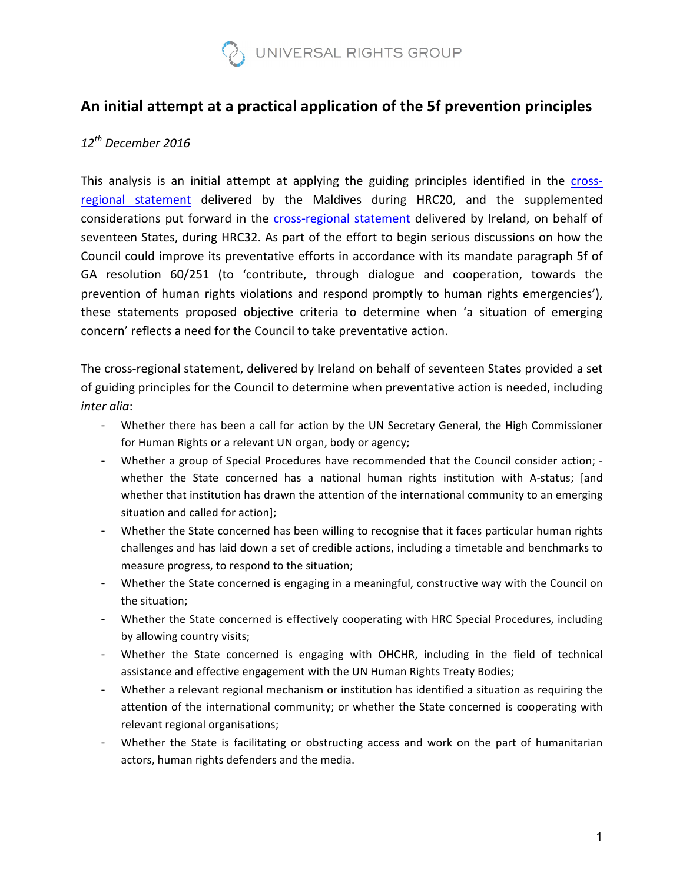

### An initial attempt at a practical application of the 5f prevention principles

#### *12th December 2016*

This analysis is an initial attempt at applying the guiding principles identified in the crossregional statement delivered by the Maldives during HRC20, and the supplemented considerations put forward in the cross-regional statement delivered by Ireland, on behalf of seventeen States, during HRC32. As part of the effort to begin serious discussions on how the Council could improve its preventative efforts in accordance with its mandate paragraph 5f of GA resolution 60/251 (to 'contribute, through dialogue and cooperation, towards the prevention of human rights violations and respond promptly to human rights emergencies'), these statements proposed objective criteria to determine when 'a situation of emerging concern' reflects a need for the Council to take preventative action.

The cross-regional statement, delivered by Ireland on behalf of seventeen States provided a set of guiding principles for the Council to determine when preventative action is needed, including *inter alia*: 

- Whether there has been a call for action by the UN Secretary General, the High Commissioner for Human Rights or a relevant UN organ, body or agency;
- Whether a group of Special Procedures have recommended that the Council consider action; whether the State concerned has a national human rights institution with A-status; [and whether that institution has drawn the attention of the international community to an emerging situation and called for action];
- Whether the State concerned has been willing to recognise that it faces particular human rights challenges and has laid down a set of credible actions, including a timetable and benchmarks to measure progress, to respond to the situation;
- Whether the State concerned is engaging in a meaningful, constructive way with the Council on the situation;
- Whether the State concerned is effectively cooperating with HRC Special Procedures, including by allowing country visits;
- Whether the State concerned is engaging with OHCHR, including in the field of technical assistance and effective engagement with the UN Human Rights Treaty Bodies;
- Whether a relevant regional mechanism or institution has identified a situation as requiring the attention of the international community; or whether the State concerned is cooperating with relevant regional organisations;
- Whether the State is facilitating or obstructing access and work on the part of humanitarian actors, human rights defenders and the media.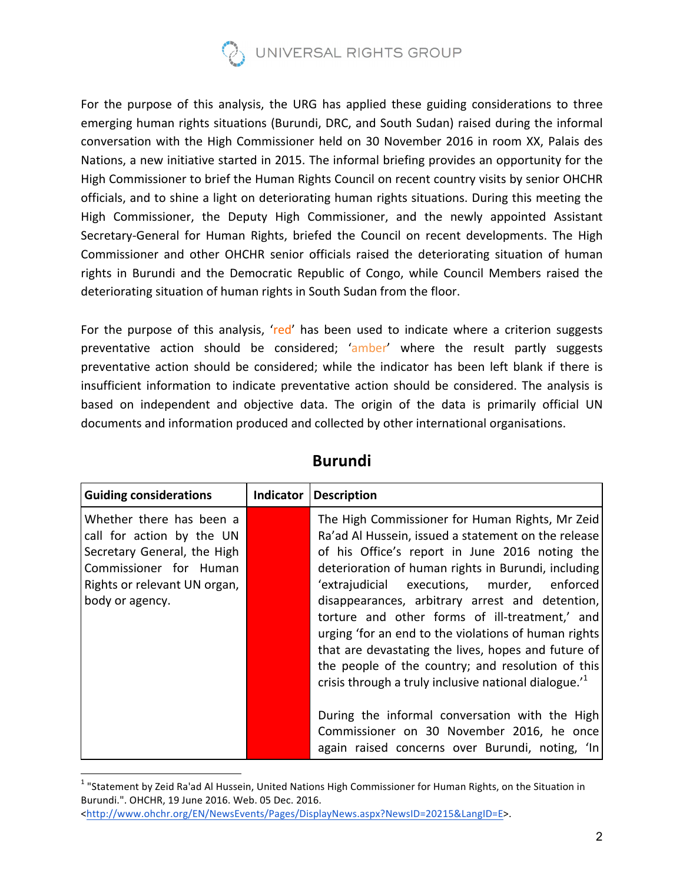

For the purpose of this analysis, the URG has applied these guiding considerations to three emerging human rights situations (Burundi, DRC, and South Sudan) raised during the informal conversation with the High Commissioner held on 30 November 2016 in room XX, Palais des Nations, a new initiative started in 2015. The informal briefing provides an opportunity for the High Commissioner to brief the Human Rights Council on recent country visits by senior OHCHR officials, and to shine a light on deteriorating human rights situations. During this meeting the High Commissioner, the Deputy High Commissioner, and the newly appointed Assistant Secretary-General for Human Rights, briefed the Council on recent developments. The High Commissioner and other OHCHR senior officials raised the deteriorating situation of human rights in Burundi and the Democratic Republic of Congo, while Council Members raised the deteriorating situation of human rights in South Sudan from the floor.

For the purpose of this analysis, 'red' has been used to indicate where a criterion suggests preventative action should be considered; 'amber' where the result partly suggests preventative action should be considered; while the indicator has been left blank if there is insufficient information to indicate preventative action should be considered. The analysis is based on independent and objective data. The origin of the data is primarily official UN documents and information produced and collected by other international organisations.

| <b>Guiding considerations</b>                                                                                                                                     | <b>Indicator</b> | <b>Description</b>                                                                                                                                                                                                                                                                                                                                                                                                                                                                                                                                                                                          |
|-------------------------------------------------------------------------------------------------------------------------------------------------------------------|------------------|-------------------------------------------------------------------------------------------------------------------------------------------------------------------------------------------------------------------------------------------------------------------------------------------------------------------------------------------------------------------------------------------------------------------------------------------------------------------------------------------------------------------------------------------------------------------------------------------------------------|
| Whether there has been a<br>call for action by the UN<br>Secretary General, the High<br>Commissioner for Human<br>Rights or relevant UN organ,<br>body or agency. |                  | The High Commissioner for Human Rights, Mr Zeid<br>Ra'ad Al Hussein, issued a statement on the release<br>of his Office's report in June 2016 noting the<br>deterioration of human rights in Burundi, including<br>'extrajudicial executions, murder, enforced<br>disappearances, arbitrary arrest and detention,<br>torture and other forms of ill-treatment,' and<br>urging 'for an end to the violations of human rights<br>that are devastating the lives, hopes and future of<br>the people of the country; and resolution of this<br>crisis through a truly inclusive national dialogue. <sup>1</sup> |
|                                                                                                                                                                   |                  | During the informal conversation with the High<br>Commissioner on 30 November 2016, he once<br>again raised concerns over Burundi, noting, 'In                                                                                                                                                                                                                                                                                                                                                                                                                                                              |

### **Burundi**

 $1$  "Statement by Zeid Ra'ad Al Hussein, United Nations High Commissioner for Human Rights, on the Situation in Burundi.". OHCHR, 19 June 2016. Web. 05 Dec. 2016.

<sup>&</sup>lt;http://www.ohchr.org/EN/NewsEvents/Pages/DisplayNews.aspx?NewsID=20215&LangID=E>.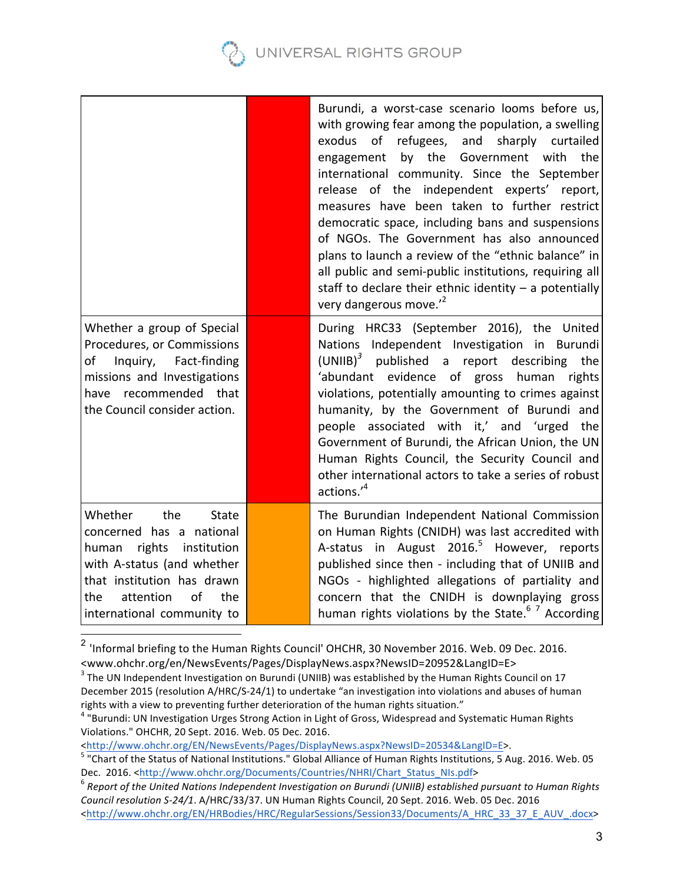

|                                                                                                                                                                                                                         | Burundi, a worst-case scenario looms before us,<br>with growing fear among the population, a swelling<br>refugees, and<br>exodus<br>of<br>sharply curtailed<br>by the Government<br>with<br>the<br>engagement<br>international community. Since the September<br>release of the independent experts' report,<br>measures have been taken to further restrict<br>democratic space, including bans and suspensions<br>of NGOs. The Government has also announced<br>plans to launch a review of the "ethnic balance" in<br>all public and semi-public institutions, requiring all<br>staff to declare their ethnic identity $-$ a potentially<br>very dangerous move." |
|-------------------------------------------------------------------------------------------------------------------------------------------------------------------------------------------------------------------------|----------------------------------------------------------------------------------------------------------------------------------------------------------------------------------------------------------------------------------------------------------------------------------------------------------------------------------------------------------------------------------------------------------------------------------------------------------------------------------------------------------------------------------------------------------------------------------------------------------------------------------------------------------------------|
| Whether a group of Special<br>Procedures, or Commissions<br>Inquiry, Fact-finding<br>of<br>missions and Investigations<br>have recommended that<br>the Council consider action.                                         | During HRC33 (September 2016), the United<br>Nations Independent Investigation in Burundi<br>$(UNIIB)^3$ published a report describing<br>the<br>'abundant evidence of gross human rights<br>violations, potentially amounting to crimes against<br>humanity, by the Government of Burundi and<br>people associated with it,' and 'urged the<br>Government of Burundi, the African Union, the UN<br>Human Rights Council, the Security Council and<br>other international actors to take a series of robust<br>actions.' <sup>4</sup>                                                                                                                                |
| the<br>Whether<br><b>State</b><br>concerned has a national<br>rights<br>human<br>institution<br>with A-status (and whether<br>that institution has drawn<br>attention<br>of<br>the<br>the<br>international community to | The Burundian Independent National Commission<br>on Human Rights (CNIDH) was last accredited with<br>A-status in August 2016. <sup>5</sup> However, reports<br>published since then - including that of UNIIB and<br>NGOs - highlighted allegations of partiality and<br>concern that the CNIDH is downplaying gross<br>human rights violations by the State. <sup>67</sup> According                                                                                                                                                                                                                                                                                |

 $2$  'Informal briefing to the Human Rights Council' OHCHR, 30 November 2016. Web. 09 Dec. 2016.

<sup>&</sup>lt;www.ohchr.org/en/NewsEvents/Pages/DisplayNews.aspx?NewsID=20952&LangID=E>

 $3$  The UN Independent Investigation on Burundi (UNIIB) was established by the Human Rights Council on 17 December 2015 (resolution A/HRC/S-24/1) to undertake "an investigation into violations and abuses of human rights with a view to preventing further deterioration of the human rights situation."

<sup>&</sup>lt;sup>4</sup> "Burundi: UN Investigation Urges Strong Action in Light of Gross, Widespread and Systematic Human Rights Violations." OHCHR, 20 Sept. 2016. Web. 05 Dec. 2016.

shttp://www.ohchr.org/EN/NewsEvents/Pages/DisplayNews.aspx?NewsID=20534&LangID=E>.<br>
<sup>5</sup> "Chart of the Status of National Institutions." Global Alliance of Human Rights Institutions, 5 Aug. 2016. Web. 05<br>
Dec. 2016. <http:/

 $^6$  Report of the United Nations Independent Investigation on Burundi (UNIIB) established pursuant to Human Rights *Council resolution S-24/1.* A/HRC/33/37. UN Human Rights Council, 20 Sept. 2016. Web. 05 Dec. 2016 <http://www.ohchr.org/EN/HRBodies/HRC/RegularSessions/Session33/Documents/A\_HRC\_33\_37\_E\_AUV\_.docx>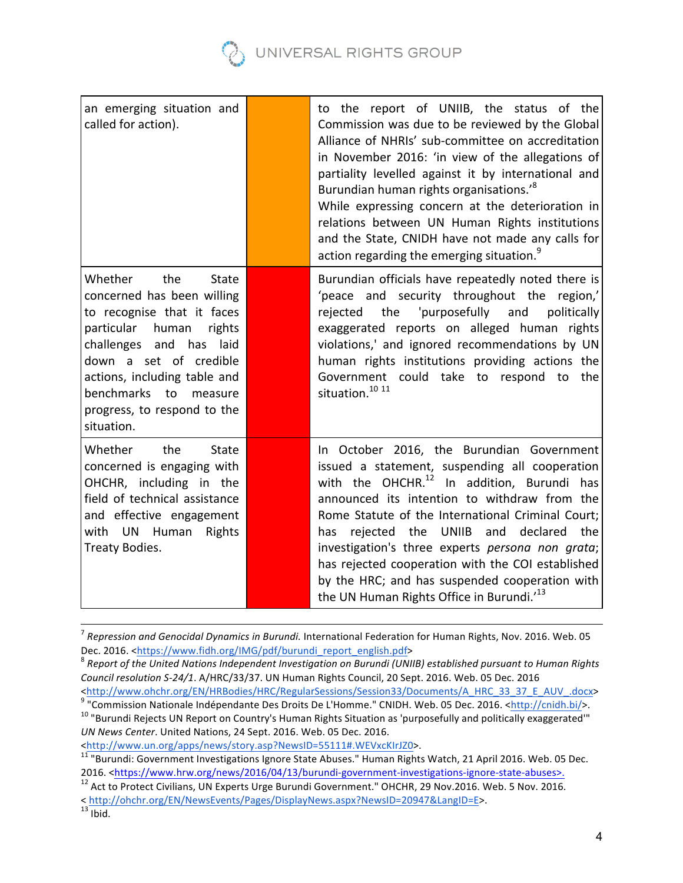

| an emerging situation and<br>called for action).                                                                                                                                                                                                                                             | to the report of UNIIB, the status of the<br>Commission was due to be reviewed by the Global<br>Alliance of NHRIs' sub-committee on accreditation<br>in November 2016: 'in view of the allegations of<br>partiality levelled against it by international and<br>Burundian human rights organisations.' <sup>8</sup><br>While expressing concern at the deterioration in<br>relations between UN Human Rights institutions<br>and the State, CNIDH have not made any calls for<br>action regarding the emerging situation.          |
|----------------------------------------------------------------------------------------------------------------------------------------------------------------------------------------------------------------------------------------------------------------------------------------------|------------------------------------------------------------------------------------------------------------------------------------------------------------------------------------------------------------------------------------------------------------------------------------------------------------------------------------------------------------------------------------------------------------------------------------------------------------------------------------------------------------------------------------|
| the<br>Whether<br><b>State</b><br>concerned has been willing<br>to recognise that it faces<br>particular<br>human<br>rights<br>challenges and has<br>laid<br>down a set of credible<br>actions, including table and<br>benchmarks to<br>measure<br>progress, to respond to the<br>situation. | Burundian officials have repeatedly noted there is<br>'peace and security throughout the region,'<br>'purposefully and<br>rejected the<br>politically<br>exaggerated reports on alleged human rights<br>violations,' and ignored recommendations by UN<br>human rights institutions providing actions the<br>Government could take to respond to the<br>situation. <sup>10</sup> <sup>11</sup>                                                                                                                                     |
| Whether<br>the<br><b>State</b><br>concerned is engaging with<br>OHCHR, including in the<br>field of technical assistance<br>and effective engagement<br>with UN Human<br>Rights<br>Treaty Bodies.                                                                                            | In October 2016, the Burundian Government<br>issued a statement, suspending all cooperation<br>with the OHCHR. <sup>12</sup> In addition, Burundi has<br>announced its intention to withdraw from the<br>Rome Statute of the International Criminal Court;<br>rejected the UNIIB<br>and<br>declared the<br>has<br>investigation's three experts persona non grata;<br>has rejected cooperation with the COI established<br>by the HRC; and has suspended cooperation with<br>the UN Human Rights Office in Burundi.' <sup>13</sup> |

<sup>&</sup>lt;sup>7</sup> Repression and Genocidal Dynamics in Burundi. International Federation for Human Rights, Nov. 2016. Web. 05 Dec. 2016. <https://www.fidh.org/IMG/pdf/burundi\_report\_english.pdf><br><sup>8</sup> Report of the United Nations Independent Investigation on Burundi (UNIIB) established pursuant to Human Rights

Council resolution S-24/1. A/HRC/33/37. UN Human Rights Council, 20 Sept. 2016. Web. 05 Dec. 2016

<sup>&</sup>lt;http://www.ohchr.org/EN/HRBodies/HRC/RegularSessions/Session33/Documents/A\_HRC\_33\_37\_E\_AUV\_.docx><br><sup>9</sup> "Commission Nationale Indépendante Des Droits De L'Homme." CNIDH. Web. 05 Dec. 2016. <http://cnidh.bi/>.<br><sup>10</sup> "Burundi

*UN News Center*. United Nations, 24 Sept. 2016. Web. 05 Dec. 2016. 

<sup>~</sup>http://www.un.org/apps/news/story.asp?NewsID=55111#.WEVxcKIrJZ0>.<br><sup>11</sup> "Burundi: Government Investigations Ignore State Abuses." Human Rights Watch, 21 April 2016. Web. 05 Dec.<br>2016. <https://www.hrw.org/news/2016/04/13/b

<sup>&</sup>lt;sup>12</sup> Act to Protect Civilians, UN Experts Urge Burundi Government." OHCHR, 29 Nov.2016. Web. 5 Nov. 2016.

<sup>&</sup>lt; http://ohchr.org/EN/NewsEvents/Pages/DisplayNews.aspx?NewsID=20947&LangID=E>. <sup>13</sup> Ibid.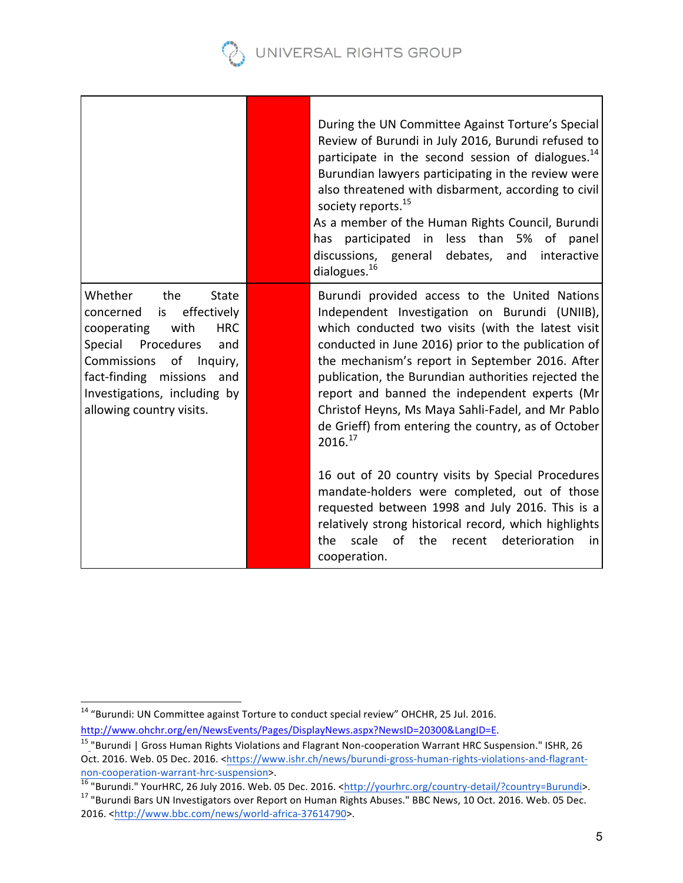UNIVERSAL RIGHTS GROUP

|                                                                                                                                                                                                                                                                 | During the UN Committee Against Torture's Special<br>Review of Burundi in July 2016, Burundi refused to<br>participate in the second session of dialogues. <sup>14</sup><br>Burundian lawyers participating in the review were<br>also threatened with disbarment, according to civil<br>society reports. <sup>15</sup><br>As a member of the Human Rights Council, Burundi<br>has participated in less than 5% of panel<br>discussions, general debates, and<br>interactive<br>dialogues. <sup>16</sup> |
|-----------------------------------------------------------------------------------------------------------------------------------------------------------------------------------------------------------------------------------------------------------------|----------------------------------------------------------------------------------------------------------------------------------------------------------------------------------------------------------------------------------------------------------------------------------------------------------------------------------------------------------------------------------------------------------------------------------------------------------------------------------------------------------|
| Whether<br>the<br><b>State</b><br>effectively<br>concerned<br>is<br><b>HRC</b><br>cooperating<br>with<br>Special<br>Procedures<br>and<br>of<br>Commissions<br>Inquiry,<br>fact-finding missions and<br>Investigations, including by<br>allowing country visits. | Burundi provided access to the United Nations<br>Independent Investigation on Burundi (UNIIB),<br>which conducted two visits (with the latest visit<br>conducted in June 2016) prior to the publication of<br>the mechanism's report in September 2016. After<br>publication, the Burundian authorities rejected the<br>report and banned the independent experts (Mr<br>Christof Heyns, Ms Maya Sahli-Fadel, and Mr Pablo<br>de Grieff) from entering the country, as of October<br>2016.17             |
|                                                                                                                                                                                                                                                                 | 16 out of 20 country visits by Special Procedures<br>mandate-holders were completed, out of those<br>requested between 1998 and July 2016. This is a<br>relatively strong historical record, which highlights<br>scale<br>of<br>the<br>deterioration<br>the<br>recent<br>in.<br>cooperation.                                                                                                                                                                                                             |

<sup>&</sup>lt;sup>14</sup> "Burundi: UN Committee against Torture to conduct special review" OHCHR, 25 Jul. 2016. http://www.ohchr.org/en/NewsEvents/Pages/DisplayNews.aspx?NewsID=20300&LangID=E.

<sup>&</sup>lt;sup>15</sup> "Burundi | Gross Human Rights Violations and Flagrant Non-cooperation Warrant HRC Suspension." ISHR, 26 Oct. 2016. Web. 05 Dec. 2016. <https://www.ishr.ch/news/burundi-gross-human-rights-violations-and-flagrant-non-cooperation-warrant-hrc-suspension>.

<sup>&</sup>lt;sup>16</sup> "Burundi." YourHRC, 26 July 2016. Web. 05 Dec. 2016. <http://yourhrc.org/country-detail/?country=Burundi>.<br><sup>17</sup> "Burundi Bars UN Investigators over Report on Human Rights Abuses." BBC News, 10 Oct. 2016. Web. 05 Dec.

<sup>2016. &</sup>lt;http://www.bbc.com/news/world-africa-37614790>.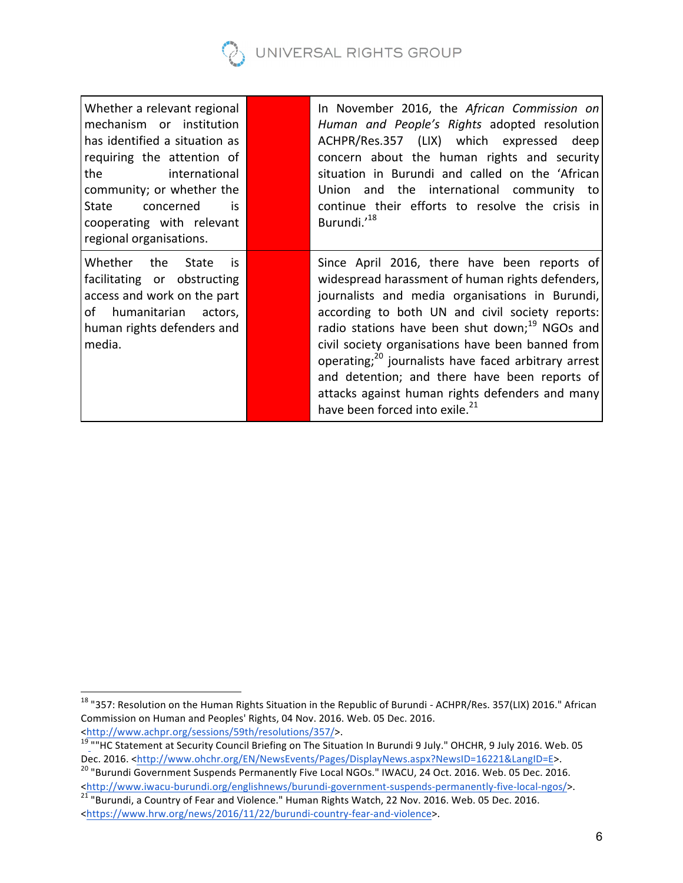

| Whether a relevant regional<br>mechanism or institution<br>has identified a situation as<br>requiring the attention of<br>international<br>the<br>community; or whether the<br>concerned<br>State<br>is<br>cooperating with relevant<br>regional organisations. | In November 2016, the African Commission on<br>Human and People's Rights adopted resolution<br>ACHPR/Res.357 (LIX) which expressed deep<br>concern about the human rights and security<br>situation in Burundi and called on the 'African<br>Union and the international community to<br>continue their efforts to resolve the crisis in<br>Burundi.' <sup>18</sup>                                                                                                                                                                             |
|-----------------------------------------------------------------------------------------------------------------------------------------------------------------------------------------------------------------------------------------------------------------|-------------------------------------------------------------------------------------------------------------------------------------------------------------------------------------------------------------------------------------------------------------------------------------------------------------------------------------------------------------------------------------------------------------------------------------------------------------------------------------------------------------------------------------------------|
| Whether<br>the<br>State<br>is<br>facilitating or obstructing<br>access and work on the part<br>humanitarian<br>actors,<br>of<br>human rights defenders and<br>media.                                                                                            | Since April 2016, there have been reports of<br>widespread harassment of human rights defenders,<br>journalists and media organisations in Burundi,<br>according to both UN and civil society reports:<br>radio stations have been shut down; <sup>19</sup> NGOs and<br>civil society organisations have been banned from<br>operating; <sup>20</sup> journalists have faced arbitrary arrest<br>and detention; and there have been reports of<br>attacks against human rights defenders and many<br>have been forced into exile. <sup>21</sup> |

<sup>&</sup>lt;sup>18</sup> "357: Resolution on the Human Rights Situation in the Republic of Burundi - ACHPR/Res. 357(LIX) 2016." African Commission on Human and Peoples' Rights, 04 Nov. 2016. Web. 05 Dec. 2016.

shttp://www.achpr.org/sessions/59th/resolutions/357/>.<br><sup>19</sup> ""HC Statement at Security Council Briefing on The Situation In Burundi 9 July." OHCHR, 9 July 2016. Web. 05<br>Dec. 2016. <http://www.ohchr.org/EN/NewsEvents/Pages/

<sup>&</sup>lt;sup>20</sup> "Burundi Government Suspends Permanently Five Local NGOs." IWACU, 24 Oct. 2016. Web. 05 Dec. 2016. shttp://www.iwacu-burundi.org/englishnews/burundi-government-suspends-permanently-five-local-ngos/>.<br><sup>21</sup> "Burundi, a Country of Fear and Violence." Human Rights Watch, 22 Nov. 2016. Web. 05 Dec. 2016.

<sup>&</sup>lt;https://www.hrw.org/news/2016/11/22/burundi-country-fear-and-violence>.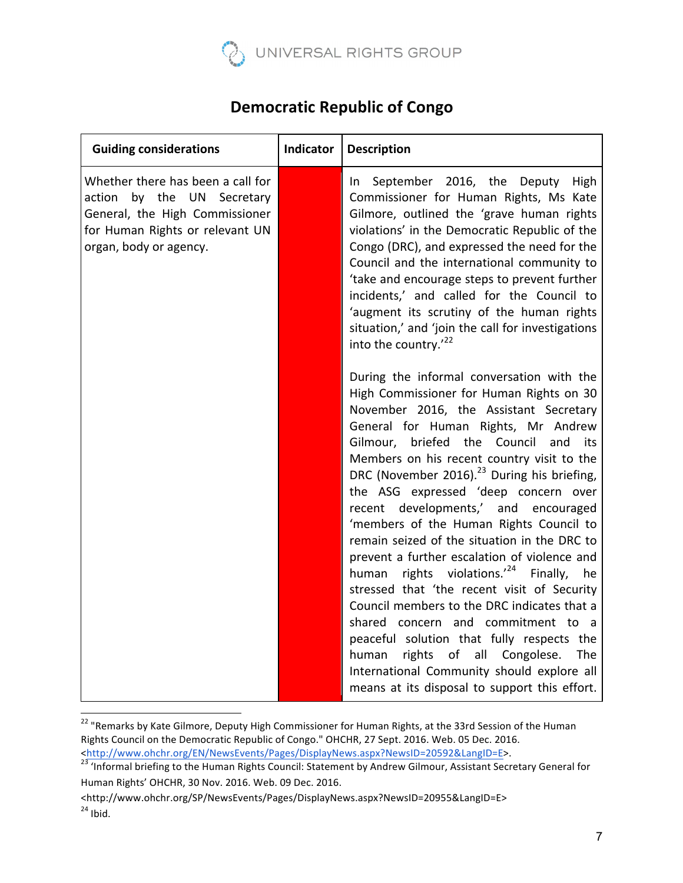

# **Democratic Republic of Congo**

| <b>Guiding considerations</b>                                                                                                                                     | <b>Indicator</b> | <b>Description</b>                                                                                                                                                                                                                                                                                                                                                                                                                                                                                                                                                                                                                                                                                                                                                                                                                      |
|-------------------------------------------------------------------------------------------------------------------------------------------------------------------|------------------|-----------------------------------------------------------------------------------------------------------------------------------------------------------------------------------------------------------------------------------------------------------------------------------------------------------------------------------------------------------------------------------------------------------------------------------------------------------------------------------------------------------------------------------------------------------------------------------------------------------------------------------------------------------------------------------------------------------------------------------------------------------------------------------------------------------------------------------------|
| Whether there has been a call for<br>by the UN Secretary<br>action<br>General, the High Commissioner<br>for Human Rights or relevant UN<br>organ, body or agency. |                  | September 2016, the<br>Deputy High<br>In I<br>Commissioner for Human Rights, Ms Kate<br>Gilmore, outlined the 'grave human rights<br>violations' in the Democratic Republic of the<br>Congo (DRC), and expressed the need for the<br>Council and the international community to<br>'take and encourage steps to prevent further<br>incidents,' and called for the Council to<br>'augment its scrutiny of the human rights<br>situation,' and 'join the call for investigations<br>into the country.'22<br>During the informal conversation with the<br>High Commissioner for Human Rights on 30<br>November 2016, the Assistant Secretary<br>General for Human Rights, Mr Andrew<br>Gilmour, briefed the Council<br>and<br>its<br>Members on his recent country visit to the<br>DRC (November 2016). <sup>23</sup> During his briefing, |
|                                                                                                                                                                   |                  | the ASG expressed 'deep concern over<br>recent developments,' and encouraged<br>'members of the Human Rights Council to<br>remain seized of the situation in the DRC to<br>prevent a further escalation of violence and<br>rights violations.' <sup>24</sup> Finally,<br>he<br>human<br>stressed that 'the recent visit of Security<br>Council members to the DRC indicates that a<br>shared concern and commitment to a<br>peaceful solution that fully respects the<br>rights<br>of all Congolese.<br>human<br>The<br>International Community should explore all<br>means at its disposal to support this effort.                                                                                                                                                                                                                     |

<sup>&</sup>lt;sup>22</sup> "Remarks by Kate Gilmore, Deputy High Commissioner for Human Rights, at the 33rd Session of the Human Rights Council on the Democratic Republic of Congo." OHCHR, 27 Sept. 2016. Web. 05 Dec. 2016. enter://www.ohchr.org/EN/NewsEvents/Pages/DisplayNews.aspx?NewsID=20592&LangID=E>.<br>23 'Informal briefing to the Human Rights Council: Statement by Andrew Gilmour, Assistant Secretary General for

Human Rights' OHCHR, 30 Nov. 2016. Web. 09 Dec. 2016.

<sup>&</sup>lt;http://www.ohchr.org/SP/NewsEvents/Pages/DisplayNews.aspx?NewsID=20955&LangID=E>  $^{24}$  Ibid.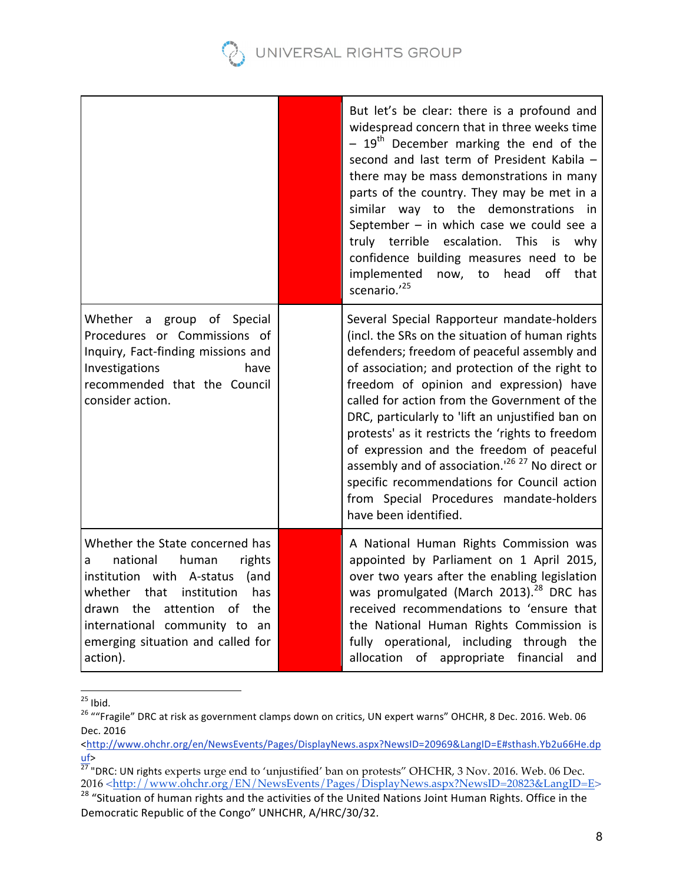

|                                                                                                                                                                                                                                                                         | But let's be clear: there is a profound and<br>widespread concern that in three weeks time<br>$-19th$ December marking the end of the<br>second and last term of President Kabila -<br>there may be mass demonstrations in many<br>parts of the country. They may be met in a<br>similar way to the demonstrations in<br>September - in which case we could see a<br>truly terrible escalation.<br><b>This</b><br>is<br>why<br>confidence building measures need to be<br>implemented<br>head<br>now, to<br>off<br>that<br>scenario."25                                                                                                     |
|-------------------------------------------------------------------------------------------------------------------------------------------------------------------------------------------------------------------------------------------------------------------------|---------------------------------------------------------------------------------------------------------------------------------------------------------------------------------------------------------------------------------------------------------------------------------------------------------------------------------------------------------------------------------------------------------------------------------------------------------------------------------------------------------------------------------------------------------------------------------------------------------------------------------------------|
| Whether a group of Special<br>Procedures or Commissions of<br>Inquiry, Fact-finding missions and<br>Investigations<br>have<br>recommended that the Council<br>consider action.                                                                                          | Several Special Rapporteur mandate-holders<br>(incl. the SRs on the situation of human rights<br>defenders; freedom of peaceful assembly and<br>of association; and protection of the right to<br>freedom of opinion and expression) have<br>called for action from the Government of the<br>DRC, particularly to 'lift an unjustified ban on<br>protests' as it restricts the 'rights to freedom<br>of expression and the freedom of peaceful<br>assembly and of association. <sup>126</sup> <sup>27</sup> No direct or<br>specific recommendations for Council action<br>from Special Procedures mandate-holders<br>have been identified. |
| Whether the State concerned has<br>national<br>rights<br>human<br>a<br>institution with A-status<br>(and<br>whether<br>that<br>institution<br>has<br>drawn the<br>attention of<br>the<br>international community to an<br>emerging situation and called for<br>action). | A National Human Rights Commission was<br>appointed by Parliament on 1 April 2015,<br>over two years after the enabling legislation<br>was promulgated (March 2013). <sup>28</sup> DRC has<br>received recommendations to 'ensure that<br>the National Human Rights Commission is<br>fully operational, including through<br>the<br>allocation of appropriate financial<br>and                                                                                                                                                                                                                                                              |

<sup>&</sup>lt;sup>25</sup> Ibid.<br><sup>26</sup> ""Fragile" DRC at risk as government clamps down on critics, UN expert warns" OHCHR, 8 Dec. 2016. Web. 06 Dec. 2016 

<sup>&</sup>lt;http://www.ohchr.org/en/NewsEvents/Pages/DisplayNews.aspx?NewsID=20969&LangID=E#sthash.Yb2u66He.dp

<sup>&</sup>lt;mark>uf></mark><br><sup>27</sup> "DRC: UN rights experts urge end to 'unjustified' ban on protests'' OHCHR, 3 Nov. 2016. Web. 06 Dec. 2016 <http://www.ohchr.org/EN/NewsEvents/Pages/DisplayNews.aspx?NewsID=20823&LangID=E>

<sup>&</sup>lt;sup>28</sup> "Situation of human rights and the activities of the United Nations Joint Human Rights. Office in the Democratic Republic of the Congo" UNHCHR, A/HRC/30/32.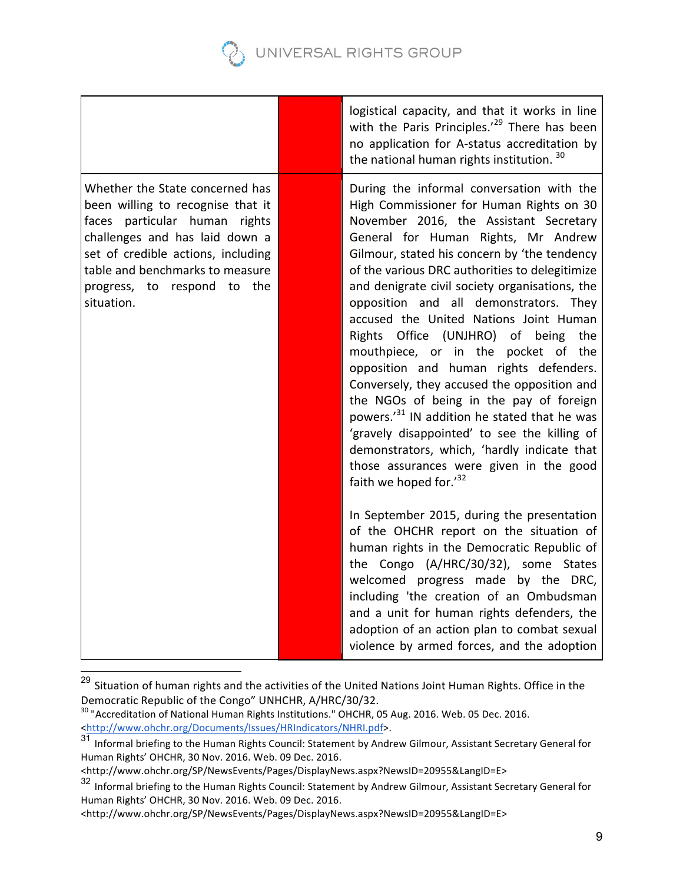

|                                                                                                                                                                                                                                                               | logistical capacity, and that it works in line<br>with the Paris Principles.' <sup>29</sup> There has been<br>no application for A-status accreditation by<br>the national human rights institution. <sup>30</sup>                                                                                                                                                                                                                                                                                                                                                                                                                                                                                                                                                                                                                                              |
|---------------------------------------------------------------------------------------------------------------------------------------------------------------------------------------------------------------------------------------------------------------|-----------------------------------------------------------------------------------------------------------------------------------------------------------------------------------------------------------------------------------------------------------------------------------------------------------------------------------------------------------------------------------------------------------------------------------------------------------------------------------------------------------------------------------------------------------------------------------------------------------------------------------------------------------------------------------------------------------------------------------------------------------------------------------------------------------------------------------------------------------------|
| Whether the State concerned has<br>been willing to recognise that it<br>faces particular human rights<br>challenges and has laid down a<br>set of credible actions, including<br>table and benchmarks to measure<br>progress, to respond to the<br>situation. | During the informal conversation with the<br>High Commissioner for Human Rights on 30<br>November 2016, the Assistant Secretary<br>General for Human Rights, Mr Andrew<br>Gilmour, stated his concern by 'the tendency<br>of the various DRC authorities to delegitimize<br>and denigrate civil society organisations, the<br>opposition and all demonstrators. They<br>accused the United Nations Joint Human<br>Rights Office (UNJHRO) of being the<br>mouthpiece, or in the pocket of the<br>opposition and human rights defenders.<br>Conversely, they accused the opposition and<br>the NGOs of being in the pay of foreign<br>powers. <sup>31</sup> IN addition he stated that he was<br>'gravely disappointed' to see the killing of<br>demonstrators, which, 'hardly indicate that<br>those assurances were given in the good<br>faith we hoped for.'32 |
|                                                                                                                                                                                                                                                               | In September 2015, during the presentation<br>of the OHCHR report on the situation of<br>human rights in the Democratic Republic of<br>the Congo (A/HRC/30/32), some States<br>welcomed progress made by the DRC,<br>including 'the creation of an Ombudsman<br>and a unit for human rights defenders, the<br>adoption of an action plan to combat sexual<br>violence by armed forces, and the adoption                                                                                                                                                                                                                                                                                                                                                                                                                                                         |

<sup>&</sup>lt;sup>29</sup> Situation of human rights and the activities of the United Nations Joint Human Rights. Office in the Democratic Republic of the Congo" UNHCHR, A/HRC/30/32.

<sup>&</sup>lt;sup>30</sup> "Accreditation of National Human Rights Institutions." OHCHR, 05 Aug. 2016. Web. 05 Dec. 2016. <http://www.ohchr.org/Documents/Issues/HRIndicators/NHRI.pdf>.

<sup>31</sup> Informal briefing to the Human Rights Council: Statement by Andrew Gilmour, Assistant Secretary General for Human Rights' OHCHR, 30 Nov. 2016. Web. 09 Dec. 2016.

<sup>&</sup>lt;http://www.ohchr.org/SP/NewsEvents/Pages/DisplayNews.aspx?NewsID=20955&LangID=E>

<sup>32</sup> Informal briefing to the Human Rights Council: Statement by Andrew Gilmour, Assistant Secretary General for Human Rights' OHCHR, 30 Nov. 2016. Web. 09 Dec. 2016.

<sup>&</sup>lt;http://www.ohchr.org/SP/NewsEvents/Pages/DisplayNews.aspx?NewsID=20955&LangID=E>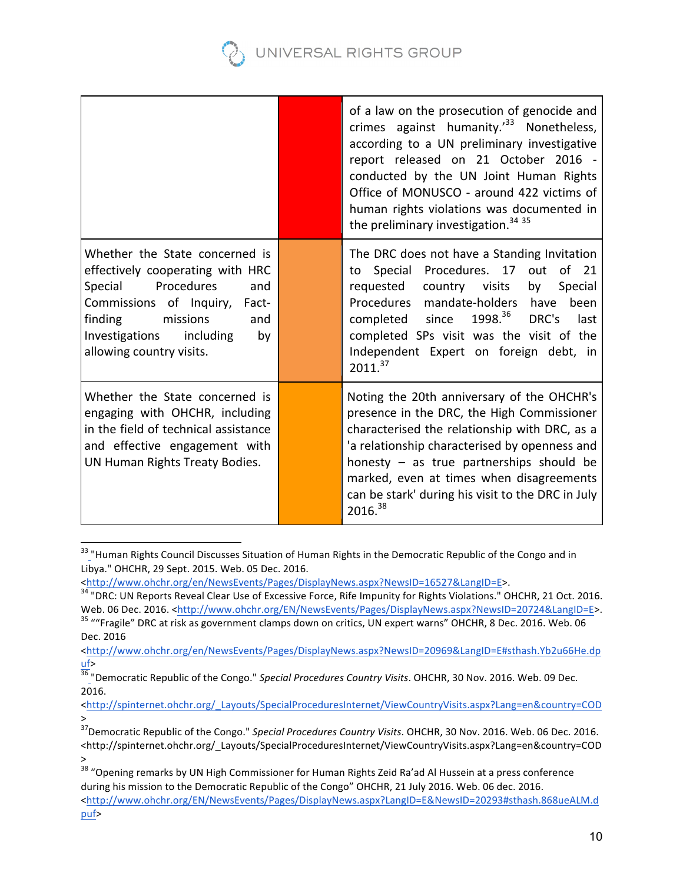

|                                                                                                                                                                                                                              | of a law on the prosecution of genocide and<br>crimes against humanity. <sup>33</sup> Nonetheless,<br>according to a UN preliminary investigative<br>report released on 21 October 2016 -<br>conducted by the UN Joint Human Rights<br>Office of MONUSCO - around 422 victims of<br>human rights violations was documented in<br>the preliminary investigation. <sup>34</sup> 35 |
|------------------------------------------------------------------------------------------------------------------------------------------------------------------------------------------------------------------------------|----------------------------------------------------------------------------------------------------------------------------------------------------------------------------------------------------------------------------------------------------------------------------------------------------------------------------------------------------------------------------------|
| Whether the State concerned is<br>effectively cooperating with HRC<br>Special Procedures<br>and<br>Commissions of Inquiry, Fact-<br>finding<br>missions<br>and<br>Investigations including<br>by<br>allowing country visits. | The DRC does not have a Standing Invitation<br>to Special Procedures. 17<br>$of$ 21<br>out<br>requested country visits<br>by<br>Special<br>Procedures mandate-holders<br>have<br>been<br>completed since 1998. <sup>36</sup><br>DRC's<br>last<br>completed SPs visit was the visit of the<br>Independent Expert on foreign debt, in<br>2011. <sup>37</sup>                       |
| Whether the State concerned is<br>engaging with OHCHR, including<br>in the field of technical assistance<br>and effective engagement with<br>UN Human Rights Treaty Bodies.                                                  | Noting the 20th anniversary of the OHCHR's<br>presence in the DRC, the High Commissioner<br>characterised the relationship with DRC, as a<br>'a relationship characterised by openness and<br>honesty $-$ as true partnerships should be<br>marked, even at times when disagreements<br>can be stark' during his visit to the DRC in July<br>2016.38                             |

<sup>&</sup>lt;sup>33</sup> "Human Rights Council Discusses Situation of Human Rights in the Democratic Republic of the Congo and in Libya." OHCHR, 29 Sept. 2015. Web. 05 Dec. 2016.

<sup>&</sup>lt;http://www.ohchr.org/en/NewsEvents/Pages/DisplayNews.aspx?NewsID=16527&LangID=E>.<br><sup>34</sup> "DRC: UN Reports Reveal Clear Use of Excessive Force, Rife Impunity for Rights Violations." OHCHR, 21 Oct. 2016. Web. 06 Dec. 2016. <http://www.ohchr.org/EN/NewsEvents/Pages/DisplayNews.aspx?NewsID=20724&LangID=E>. 35 ""Fragile" DRC at risk as government clamps down on critics, UN expert warns" OHCHR, 8 Dec. 2016. Web. 06

Dec. 2016 

<sup>&</sup>lt;http://www.ohchr.org/en/NewsEvents/Pages/DisplayNews.aspx?NewsID=20969&LangID=E#sthash.Yb2u66He.dp uf><br><sup>36</sup> "Democratic Republic of the Congo." *Special Procedures Country Visits*. OHCHR, 30 Nov. 2016. Web. 09 Dec.

<sup>2016.</sup> 

<sup>&</sup>lt;http://spinternet.ohchr.org/\_Layouts/SpecialProceduresInternet/ViewCountryVisits.aspx?Lang=en&country=COD >

<sup>&</sup>lt;sup>37</sup>Democratic Republic of the Congo." *Special Procedures Country Visits*. OHCHR, 30 Nov. 2016. Web. 06 Dec. 2016. <http://spinternet.ohchr.org/\_Layouts/SpecialProceduresInternet/ViewCountryVisits.aspx?Lang=en&country=COD >

<sup>&</sup>lt;sup>38</sup> "Opening remarks by UN High Commissioner for Human Rights Zeid Ra'ad Al Hussein at a press conference during his mission to the Democratic Republic of the Congo" OHCHR, 21 July 2016. Web. 06 dec. 2016. <http://www.ohchr.org/EN/NewsEvents/Pages/DisplayNews.aspx?LangID=E&NewsID=20293#sthash.868ueALM.d puf>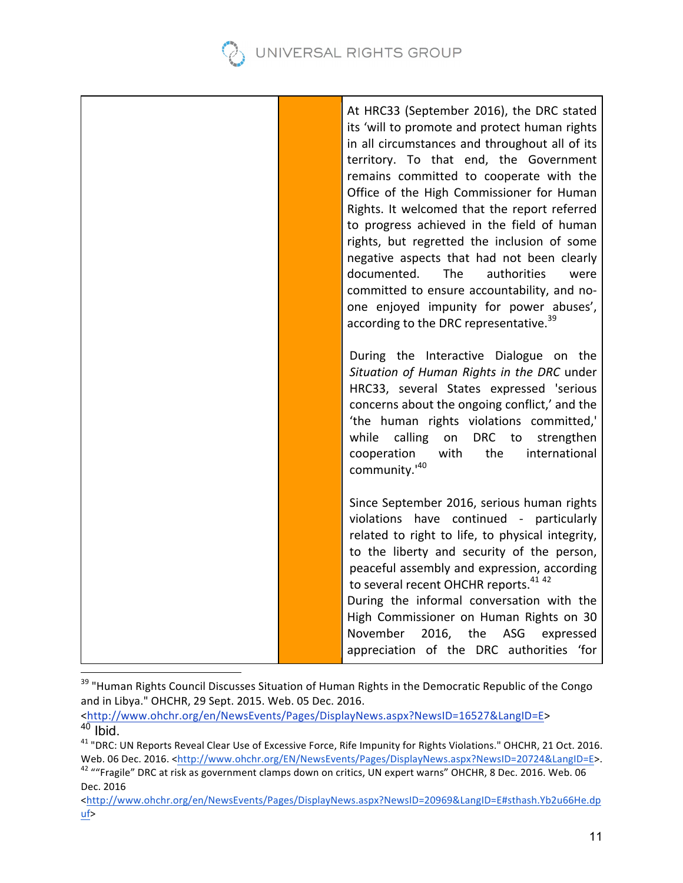

|  | At HRC33 (September 2016), the DRC stated<br>its 'will to promote and protect human rights<br>in all circumstances and throughout all of its<br>territory. To that end, the Government<br>remains committed to cooperate with the<br>Office of the High Commissioner for Human<br>Rights. It welcomed that the report referred<br>to progress achieved in the field of human<br>rights, but regretted the inclusion of some<br>negative aspects that had not been clearly<br><b>The</b><br>authorities<br>documented.<br>were<br>committed to ensure accountability, and no-<br>one enjoyed impunity for power abuses',<br>according to the DRC representative. <sup>39</sup> |
|--|-------------------------------------------------------------------------------------------------------------------------------------------------------------------------------------------------------------------------------------------------------------------------------------------------------------------------------------------------------------------------------------------------------------------------------------------------------------------------------------------------------------------------------------------------------------------------------------------------------------------------------------------------------------------------------|
|  | During the Interactive Dialogue on the<br>Situation of Human Rights in the DRC under<br>HRC33, several States expressed 'serious<br>concerns about the ongoing conflict,' and the<br>'the human rights violations committed,'<br>while<br>calling<br><b>DRC</b><br>on<br>to<br>strengthen<br>with<br>the<br>cooperation<br>international<br>community. <sup>140</sup>                                                                                                                                                                                                                                                                                                         |
|  | Since September 2016, serious human rights<br>violations have continued - particularly<br>related to right to life, to physical integrity,<br>to the liberty and security of the person,<br>peaceful assembly and expression, according<br>to several recent OHCHR reports. <sup>41 42</sup><br>During the informal conversation with the<br>High Commissioner on Human Rights on 30<br>November<br>2016,<br>the<br>ASG<br>expressed<br>appreciation of the DRC authorities 'for                                                                                                                                                                                              |

<sup>&</sup>lt;sup>39</sup> "Human Rights Council Discusses Situation of Human Rights in the Democratic Republic of the Congo and in Libya." OHCHR, 29 Sept. 2015. Web. 05 Dec. 2016.

1

<sup>&</sup>lt;http://www.ohchr.org/en/NewsEvents/Pages/DisplayNews.aspx?NewsID=16527&LangID=E>

<sup>&</sup>lt;sup>41</sup> "DRC: UN Reports Reveal Clear Use of Excessive Force, Rife Impunity for Rights Violations." OHCHR, 21 Oct. 2016.<br>Web. 06 Dec. 2016. <http://www.ohchr.org/EN/NewsEvents/Pages/DisplayNews.aspx?NewsID=20724&LangID=E>.

Web. 06 Dec. 2016. <u>Inspir minimizing</u> Pages 1972<br><sup>42</sup> "Fragile" DRC at risk as government clamps down on critics, UN expert warns" OHCHR, 8 Dec. 2016. Web. 06 Dec. 2016 

<sup>&</sup>lt;http://www.ohchr.org/en/NewsEvents/Pages/DisplayNews.aspx?NewsID=20969&LangID=E#sthash.Yb2u66He.dp uf>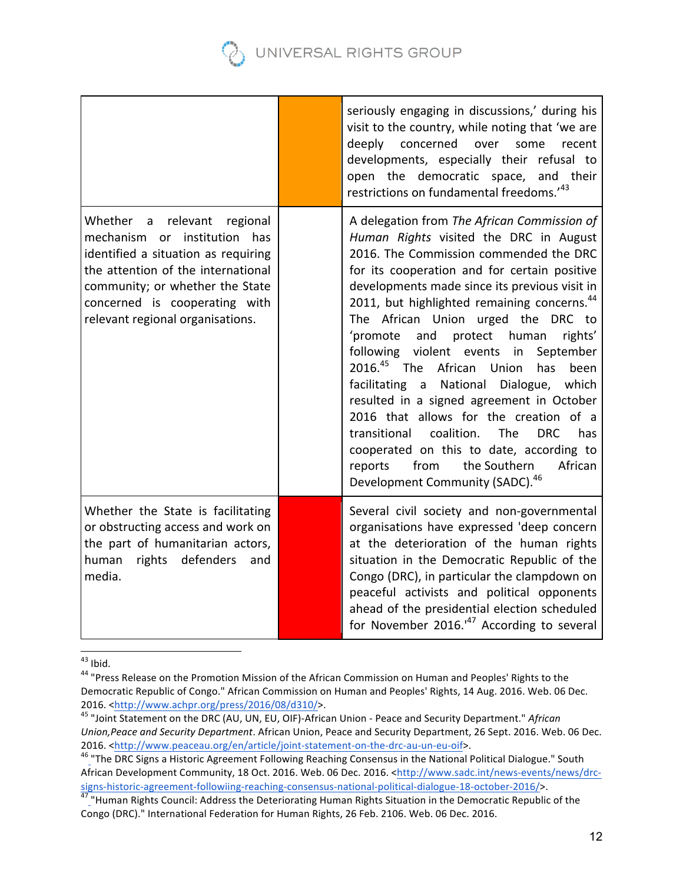

|                                                                                                                                                                                                                                                                              | seriously engaging in discussions,' during his<br>visit to the country, while noting that 'we are<br>deeply<br>concerned<br>over<br>some<br>recent<br>developments, especially their refusal to<br>open the democratic space,<br>and their<br>restrictions on fundamental freedoms.'43                                                                                                                                                                                                                                                                                                                                                                                                                                                                                                                                                             |
|------------------------------------------------------------------------------------------------------------------------------------------------------------------------------------------------------------------------------------------------------------------------------|----------------------------------------------------------------------------------------------------------------------------------------------------------------------------------------------------------------------------------------------------------------------------------------------------------------------------------------------------------------------------------------------------------------------------------------------------------------------------------------------------------------------------------------------------------------------------------------------------------------------------------------------------------------------------------------------------------------------------------------------------------------------------------------------------------------------------------------------------|
| Whether<br>relevant<br>regional<br>$\overline{a}$<br>or institution<br>mechanism<br>has<br>identified a situation as requiring<br>the attention of the international<br>community; or whether the State<br>concerned is cooperating with<br>relevant regional organisations. | A delegation from The African Commission of<br>Human Rights visited the DRC in August<br>2016. The Commission commended the DRC<br>for its cooperation and for certain positive<br>developments made since its previous visit in<br>2011, but highlighted remaining concerns. <sup>44</sup><br>The African Union urged the DRC to<br>'promote<br>and<br>protect human<br>rights'<br>following violent events in<br>September<br>2016. <sup>45</sup> The African<br>Union<br>has<br>been<br>National Dialogue,<br>facilitating<br>which<br>$\overline{a}$<br>resulted in a signed agreement in October<br>2016 that allows for the creation of a<br>transitional<br>coalition.<br>The<br><b>DRC</b><br>has<br>cooperated on this to date, according to<br>the Southern<br>from<br>African<br>reports<br>Development Community (SADC). <sup>46</sup> |
| Whether the State is facilitating<br>or obstructing access and work on<br>the part of humanitarian actors,<br>rights<br>defenders<br>human<br>and<br>media.                                                                                                                  | Several civil society and non-governmental<br>organisations have expressed 'deep concern<br>at the deterioration of the human rights<br>situation in the Democratic Republic of the<br>Congo (DRC), in particular the clampdown on<br>peaceful activists and political opponents<br>ahead of the presidential election scheduled<br>for November 2016. <sup>147</sup> According to several                                                                                                                                                                                                                                                                                                                                                                                                                                                         |

<sup>&</sup>lt;sup>43</sup> Ibid.<br><sup>44</sup> "Press Release on the Promotion Mission of the African Commission on Human and Peoples' Rights to the Democratic Republic of Congo." African Commission on Human and Peoples' Rights, 14 Aug. 2016. Web. 06 Dec. 2016. <http://www.achpr.org/press/2016/08/d310/>.<br><sup>45</sup> "Joint Statement on the DRC (AU, UN, EU, OIF)-African Union - Peace and Security Department." *African* 

*Union, Peace and Security Department*. African Union, Peace and Security Department, 26 Sept. 2016. Web. 06 Dec. 2016. <http://www.peaceau.org/en/article/joint-statement-on-the-drc-au-un-eu-oif>. 46 "The DRC Signs a Historic Agreement Following Reaching Consensus in the National Political Dialogue." South

African Development Community, 18 Oct. 2016. Web. 06 Dec. 2016. <http://www.sadc.int/news-events/news/drcsigns-historic-agreement-followiing-reaching-consensus-national-political-dialogue-18-october-2016/>.<br><sup>47</sup> "Human Rights Council: Address the Deteriorating Human Rights Situation in the Democratic Republic of the

Congo (DRC)." International Federation for Human Rights, 26 Feb. 2106. Web. 06 Dec. 2016.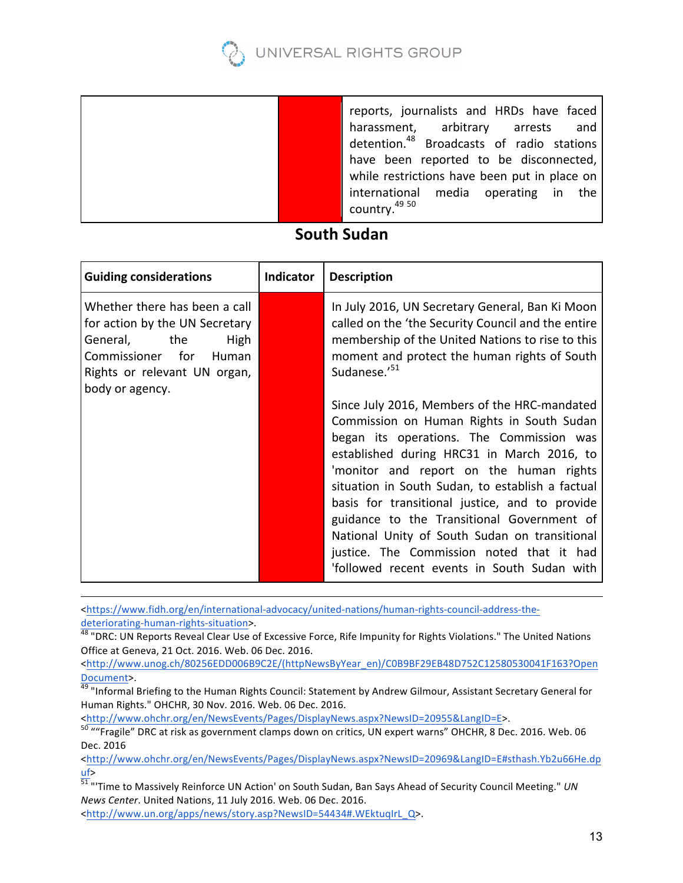

| reports, journalists and HRDs have faced              |
|-------------------------------------------------------|
| harassment, arbitrary arrests<br>and                  |
| detention. <sup>48</sup> Broadcasts of radio stations |
| have been reported to be disconnected,                |
| while restrictions have been put in place on          |
| international media operating in<br>the               |
| country. <sup>49 50</sup>                             |

## **South Sudan**

| <b>Guiding considerations</b>                                                                                                                                        | <b>Indicator</b> | <b>Description</b>                                                                                                                                                                                                                                                                                                                                                                                                                                                                                                                                                                                                                                                                                                                                                       |
|----------------------------------------------------------------------------------------------------------------------------------------------------------------------|------------------|--------------------------------------------------------------------------------------------------------------------------------------------------------------------------------------------------------------------------------------------------------------------------------------------------------------------------------------------------------------------------------------------------------------------------------------------------------------------------------------------------------------------------------------------------------------------------------------------------------------------------------------------------------------------------------------------------------------------------------------------------------------------------|
| Whether there has been a call<br>for action by the UN Secretary<br>General, the<br>High<br>Commissioner for Human<br>Rights or relevant UN organ,<br>body or agency. |                  | In July 2016, UN Secretary General, Ban Ki Moon<br>called on the 'the Security Council and the entire<br>membership of the United Nations to rise to this<br>moment and protect the human rights of South<br>Sudanese.' <sup>51</sup><br>Since July 2016, Members of the HRC-mandated<br>Commission on Human Rights in South Sudan<br>began its operations. The Commission was<br>established during HRC31 in March 2016, to<br>'monitor and report on the human rights<br>situation in South Sudan, to establish a factual<br>basis for transitional justice, and to provide<br>guidance to the Transitional Government of<br>National Unity of South Sudan on transitional<br>justice. The Commission noted that it had<br>'followed recent events in South Sudan with |

<https://www.fidh.org/en/international-advocacy/united-nations/human-rights-council-address-the-

<http://www.ohchr.org/en/NewsEvents/Pages/DisplayNews.aspx?NewsID=20969&LangID=E#sthash.Yb2u66He.dp

```
<http://www.un.org/apps/news/story.asp?NewsID=54434#.WEktuqIrL_Q>.
```
1

deteriorating-human-rights-situation>.<br><sup>48</sup> "DRC: UN Reports Reveal Clear Use of Excessive Force, Rife Impunity for Rights Violations." The United Nations Office at Geneva, 21 Oct. 2016. Web. 06 Dec. 2016.

<sup>&</sup>lt;http://www.unog.ch/80256EDD006B9C2E/(httpNewsByYear\_en)/C0B9BF29EB48D752C12580530041F163?Open

Document>.<br><sup>49</sup> "Informal Briefing to the Human Rights Council: Statement by Andrew Gilmour, Assistant Secretary General for Human Rights." OHCHR, 30 Nov. 2016. Web. 06 Dec. 2016.<br><http://www.ohchr.org/en/NewsEvents/Pages/DisplayNews.aspx?NewsID=20955&LangID=E>.

 $100$  ""Fragile" DRC at risk as government clamps down on critics, UN expert warns" OHCHR, 8 Dec. 2016. Web. 06 Dec. 2016 

uf><br><sup>51</sup> "'Time to Massively Reinforce UN Action' on South Sudan, Ban Says Ahead of Security Council Meeting." *UN News Center*. United Nations, 11 July 2016. Web. 06 Dec. 2016.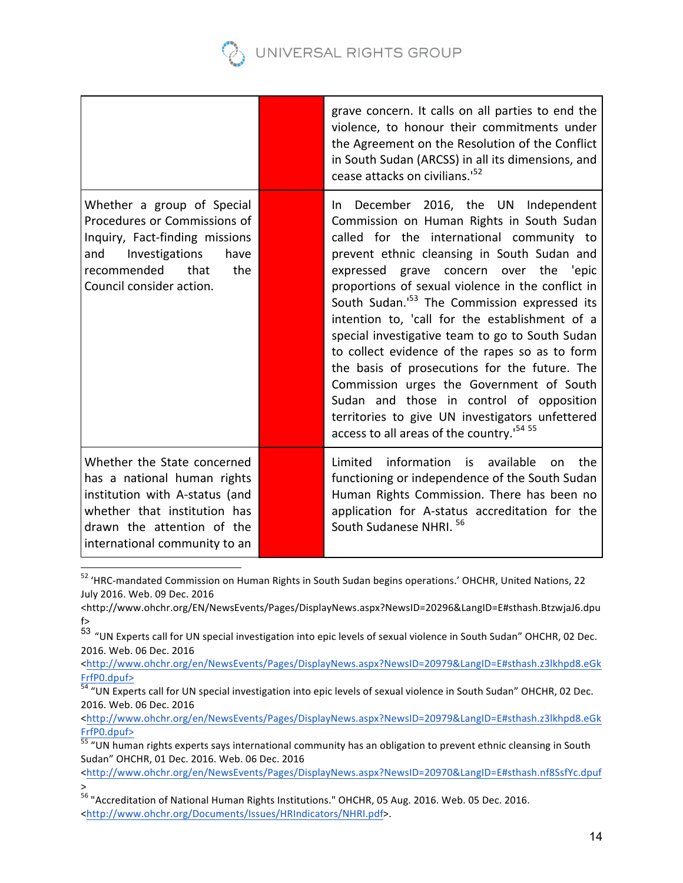

|                                                                                                                                                                                             | grave concern. It calls on all parties to end the<br>violence, to honour their commitments under<br>the Agreement on the Resolution of the Conflict<br>in South Sudan (ARCSS) in all its dimensions, and<br>cease attacks on civilians. <sup>152</sup>                                                                                                                                                                                                                                                                                                                                                                                                                                                                                               |
|---------------------------------------------------------------------------------------------------------------------------------------------------------------------------------------------|------------------------------------------------------------------------------------------------------------------------------------------------------------------------------------------------------------------------------------------------------------------------------------------------------------------------------------------------------------------------------------------------------------------------------------------------------------------------------------------------------------------------------------------------------------------------------------------------------------------------------------------------------------------------------------------------------------------------------------------------------|
| Whether a group of Special<br>Procedures or Commissions of<br>Inquiry, Fact-finding missions<br>and Investigations<br>have<br>recommended<br>that<br>the<br>Council consider action.        | In December 2016, the UN Independent<br>Commission on Human Rights in South Sudan<br>called for the international community to<br>prevent ethnic cleansing in South Sudan and<br>expressed grave concern over the 'epic<br>proportions of sexual violence in the conflict in<br>South Sudan. <sup>153</sup> The Commission expressed its<br>intention to, 'call for the establishment of a<br>special investigative team to go to South Sudan<br>to collect evidence of the rapes so as to form<br>the basis of prosecutions for the future. The<br>Commission urges the Government of South<br>Sudan and those in control of opposition<br>territories to give UN investigators unfettered<br>access to all areas of the country. <sup>154 55</sup> |
| Whether the State concerned<br>has a national human rights<br>institution with A-status (and<br>whether that institution has<br>drawn the attention of the<br>international community to an | Limited information is available<br>the<br>on.<br>functioning or independence of the South Sudan<br>Human Rights Commission. There has been no<br>application for A-status accreditation for the<br>South Sudanese NHRI. 56                                                                                                                                                                                                                                                                                                                                                                                                                                                                                                                          |

<sup>52 &#</sup>x27;HRC-mandated Commission on Human Rights in South Sudan begins operations.' OHCHR, United Nations, 22 July 2016. Web. 09 Dec. 2016

<http://www.ohchr.org/en/NewsEvents/Pages/DisplayNews.aspx?NewsID=20979&LangID=E#sthash.z3lkhpd8.eGk

<sup>&</sup>lt;http://www.ohchr.org/EN/NewsEvents/Pages/DisplayNews.aspx?NewsID=20296&LangID=E#sthash.BtzwjaJ6.dpu f>

<sup>53 &</sup>quot;UN Experts call for UN special investigation into epic levels of sexual violence in South Sudan" OHCHR, 02 Dec. 2016. Web. 06 Dec. 2016

FrfP0.dpuf><br><sup>54</sup> "UN Experts call for UN special investigation into epic levels of sexual violence in South Sudan" OHCHR, 02 Dec. 2016. Web. 06 Dec. 2016

<sup>&</sup>lt;http://www.ohchr.org/en/NewsEvents/Pages/DisplayNews.aspx?NewsID=20979&LangID=E#sthash.z3lkhpd8.eGk  $FrfPO.dpuf$ <br><sup>55</sup> "UN human rights experts says international community has an obligation to prevent ethnic cleansing in South

Sudan" OHCHR, 01 Dec. 2016. Web. 06 Dec. 2016

<sup>&</sup>lt;http://www.ohchr.org/en/NewsEvents/Pages/DisplayNews.aspx?NewsID=20970&LangID=E#sthash.nf8SsfYc.dpuf >

<sup>&</sup>lt;sup>56</sup> "Accreditation of National Human Rights Institutions." OHCHR, 05 Aug. 2016. Web. 05 Dec. 2016. <http://www.ohchr.org/Documents/Issues/HRIndicators/NHRI.pdf>.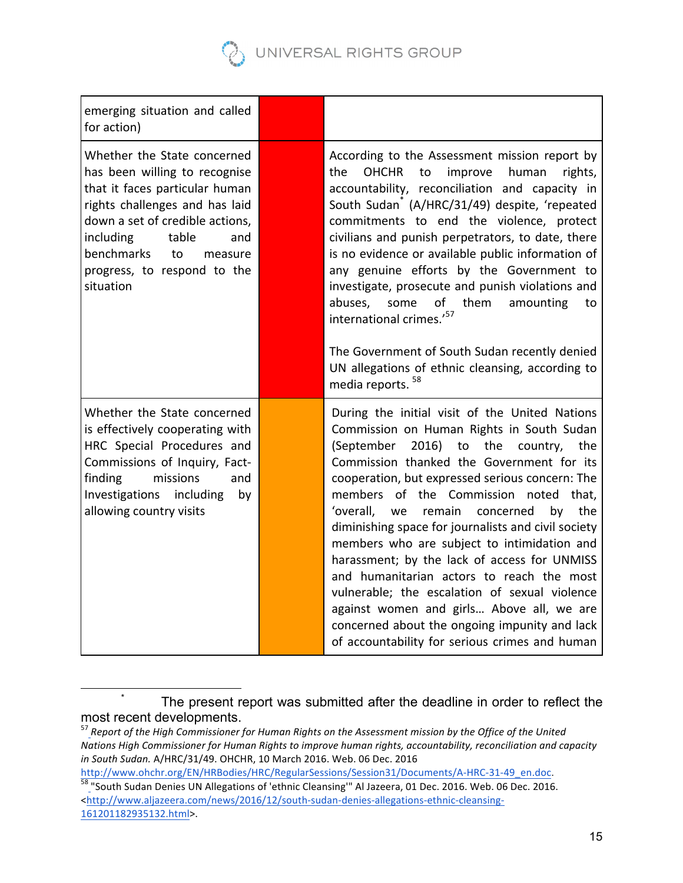

| emerging situation and called<br>for action)                                                                                                                                                                                                                                |                                                                                                                                                                                                                                                                                                                                                                                                                                                                                                                                                                                                                                                                                                                                                     |
|-----------------------------------------------------------------------------------------------------------------------------------------------------------------------------------------------------------------------------------------------------------------------------|-----------------------------------------------------------------------------------------------------------------------------------------------------------------------------------------------------------------------------------------------------------------------------------------------------------------------------------------------------------------------------------------------------------------------------------------------------------------------------------------------------------------------------------------------------------------------------------------------------------------------------------------------------------------------------------------------------------------------------------------------------|
| Whether the State concerned<br>has been willing to recognise<br>that it faces particular human<br>rights challenges and has laid<br>down a set of credible actions,<br>including<br>table<br>and<br>benchmarks<br>to<br>measure<br>progress, to respond to the<br>situation | According to the Assessment mission report by<br>improve<br>the<br><b>OHCHR</b><br>to<br>human<br>rights,<br>accountability, reconciliation and capacity in<br>South Sudan (A/HRC/31/49) despite, 'repeated<br>commitments to end the violence, protect<br>civilians and punish perpetrators, to date, there<br>is no evidence or available public information of<br>any genuine efforts by the Government to<br>investigate, prosecute and punish violations and<br>of<br>them<br>abuses,<br>some<br>amounting<br>to<br>international crimes.' <sup>57</sup><br>The Government of South Sudan recently denied<br>UN allegations of ethnic cleansing, according to<br>media reports. <sup>58</sup>                                                  |
| Whether the State concerned<br>is effectively cooperating with<br>HRC Special Procedures and<br>Commissions of Inquiry, Fact-<br>finding<br>missions<br>and<br>Investigations including<br>by<br>allowing country visits                                                    | During the initial visit of the United Nations<br>Commission on Human Rights in South Sudan<br>2016) to the<br>(September<br>country,<br>the<br>Commission thanked the Government for its<br>cooperation, but expressed serious concern: The<br>members of the Commission noted<br>that,<br>'overall,<br>remain<br>the<br>we<br>concerned<br>by<br>diminishing space for journalists and civil society<br>members who are subject to intimidation and<br>harassment; by the lack of access for UNMISS<br>and humanitarian actors to reach the most<br>vulnerable; the escalation of sexual violence<br>against women and girls Above all, we are<br>concerned about the ongoing impunity and lack<br>of accountability for serious crimes and human |

 <sup>\*</sup> The present report was submitted after the deadline in order to reflect the most recent developments.

<sup>&</sup>lt;sup>57</sup> Report of the High Commissioner for Human Rights on the Assessment mission by the Office of the United *Nations* High Commissioner for Human Rights to improve human rights, accountability, reconciliation and capacity *in South Sudan.* A/HRC/31/49. OHCHR, 10 March 2016. Web. 06 Dec. 2016<br>http://www.ohchr.org/EN/HRBodies/HRC/RegularSessions/Session31/Documents/A-HRC-31-49\_en.doc.

<sup>&</sup>lt;sup>58</sup> "South Sudan Denies UN Allegations of 'ethnic Cleansing'" Al Jazeera, 01 Dec. 2016. Web. 06 Dec. 2016. <http://www.aljazeera.com/news/2016/12/south-sudan-denies-allegations-ethnic-cleansing-161201182935132.html>.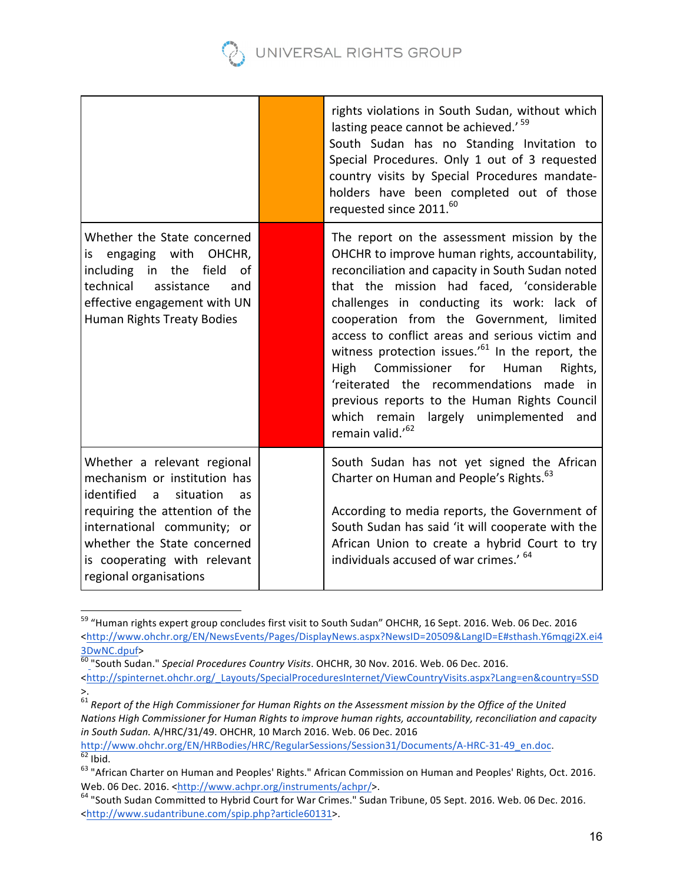

|                                                                                                                                                                                                                                                             | rights violations in South Sudan, without which<br>lasting peace cannot be achieved.' 59<br>South Sudan has no Standing Invitation to<br>Special Procedures. Only 1 out of 3 requested<br>country visits by Special Procedures mandate-<br>holders have been completed out of those<br>requested since 2011. <sup>60</sup>                                                                                                                                                                                                                                                                                                                 |
|-------------------------------------------------------------------------------------------------------------------------------------------------------------------------------------------------------------------------------------------------------------|--------------------------------------------------------------------------------------------------------------------------------------------------------------------------------------------------------------------------------------------------------------------------------------------------------------------------------------------------------------------------------------------------------------------------------------------------------------------------------------------------------------------------------------------------------------------------------------------------------------------------------------------|
| Whether the State concerned<br>is engaging with OHCHR,<br>including in the<br>field<br>0f<br>technical<br>assistance<br>and<br>effective engagement with UN<br>Human Rights Treaty Bodies                                                                   | The report on the assessment mission by the<br>OHCHR to improve human rights, accountability,<br>reconciliation and capacity in South Sudan noted<br>that the mission had faced, 'considerable<br>challenges in conducting its work: lack of<br>cooperation from the Government, limited<br>access to conflict areas and serious victim and<br>witness protection issues.' <sup>61</sup> In the report, the<br><b>High</b><br>Commissioner for Human<br>Rights,<br>'reiterated the recommendations made in<br>previous reports to the Human Rights Council<br>largely unimplemented<br>which remain<br>and<br>remain valid.' <sup>62</sup> |
| Whether a relevant regional<br>mechanism or institution has<br>identified<br>situation<br>a<br>as<br>requiring the attention of the<br>international community; or<br>whether the State concerned<br>is cooperating with relevant<br>regional organisations | South Sudan has not yet signed the African<br>Charter on Human and People's Rights. <sup>63</sup><br>According to media reports, the Government of<br>South Sudan has said 'it will cooperate with the<br>African Union to create a hybrid Court to try<br>individuals accused of war crimes.' <sup>64</sup>                                                                                                                                                                                                                                                                                                                               |

<sup>&</sup>lt;sup>59</sup> "Human rights expert group concludes first visit to South Sudan" OHCHR, 16 Sept. 2016. Web. 06 Dec. 2016 <http://www.ohchr.org/EN/NewsEvents/Pages/DisplayNews.aspx?NewsID=20509&LangID=E#sthash.Y6mqgi2X.ei4

<sup>3</sup>DwNC.dpuf><br><sup>60</sup> "South Sudan." *Special Procedures Country Visits*. OHCHR, 30 Nov. 2016. Web. 06 Dec. 2016.

<sup>&</sup>lt;http://spinternet.ohchr.org/\_Layouts/SpecialProceduresInternet/ViewCountryVisits.aspx?Lang=en&country=SSD >.

 $\frac{61}{61}$  Report of the High Commissioner for Human Rights on the Assessment mission by the Office of the United *Nations High Commissioner for Human Rights to improve human rights, accountability, reconciliation and capacity in South Sudan. A*/HRC/31/49. OHCHR, 10 March 2016. Web. 06 Dec. 2016

http://www.ohchr.org/EN/HRBodies/HRC/RegularSessions/Session31/Documents/A-HRC-31-49\_en.doc.<br>  $\frac{62}{62}$  Ibid.<br>
63 "African Charter on Human and Peoples' Rights." African Commission on Human and Peoples' Rights, Oct. 201

Web. 06 Dec. 2016. <http://www.achpr.org/instruments/achpr/>.<br>
<sup>64</sup> "South Sudan Committed to Hybrid Court for War Crimes." Sudan Tribune, 05 Sept. 2016. Web. 06 Dec. 2016.

<sup>&</sup>lt;http://www.sudantribune.com/spip.php?article60131>.